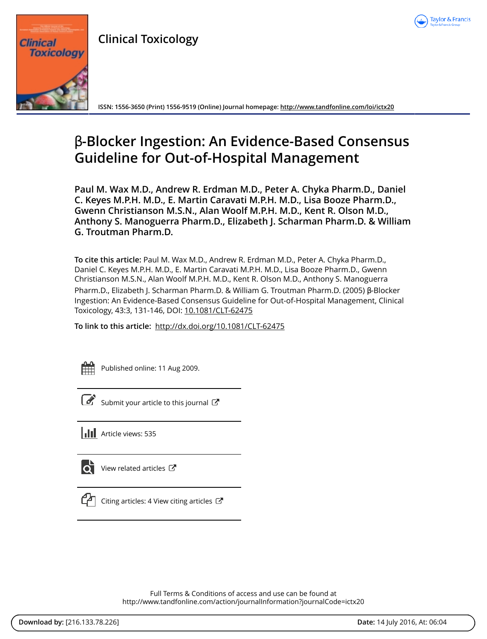

## **Clinical Toxicology**



**ISSN: 1556-3650 (Print) 1556-9519 (Online) Journal homepage:<http://www.tandfonline.com/loi/ictx20>**

# β**-Blocker Ingestion: An Evidence-Based Consensus Guideline for Out-of-Hospital Management**

**Paul M. Wax M.D., Andrew R. Erdman M.D., Peter A. Chyka Pharm.D., Daniel C. Keyes M.P.H. M.D., E. Martin Caravati M.P.H. M.D., Lisa Booze Pharm.D., Gwenn Christianson M.S.N., Alan Woolf M.P.H. M.D., Kent R. Olson M.D., Anthony S. Manoguerra Pharm.D., Elizabeth J. Scharman Pharm.D. & William G. Troutman Pharm.D.**

**To cite this article:** Paul M. Wax M.D., Andrew R. Erdman M.D., Peter A. Chyka Pharm.D., Daniel C. Keyes M.P.H. M.D., E. Martin Caravati M.P.H. M.D., Lisa Booze Pharm.D., Gwenn Christianson M.S.N., Alan Woolf M.P.H. M.D., Kent R. Olson M.D., Anthony S. Manoguerra Pharm.D., Elizabeth J. Scharman Pharm.D. & William G. Troutman Pharm.D. (2005) β-Blocker Ingestion: An Evidence-Based Consensus Guideline for Out-of-Hospital Management, Clinical Toxicology, 43:3, 131-146, DOI: [10.1081/CLT-62475](http://www.tandfonline.com/action/showCitFormats?doi=10.1081/CLT-62475)

**To link to this article:** <http://dx.doi.org/10.1081/CLT-62475>



Published online: 11 Aug 2009.

[Submit your article to this journal](http://www.tandfonline.com/action/authorSubmission?journalCode=ictx20&page=instructions)  $\mathbb{Z}$ 

**III** Article views: 535

[View related articles](http://www.tandfonline.com/doi/mlt/10.1081/CLT-62475)  $\mathbb{Z}$ 



[Citing articles: 4 View citing articles](http://www.tandfonline.com/doi/citedby/10.1081/CLT-62475#tabModule)  $\mathbb{Z}$ 

Full Terms & Conditions of access and use can be found at <http://www.tandfonline.com/action/journalInformation?journalCode=ictx20>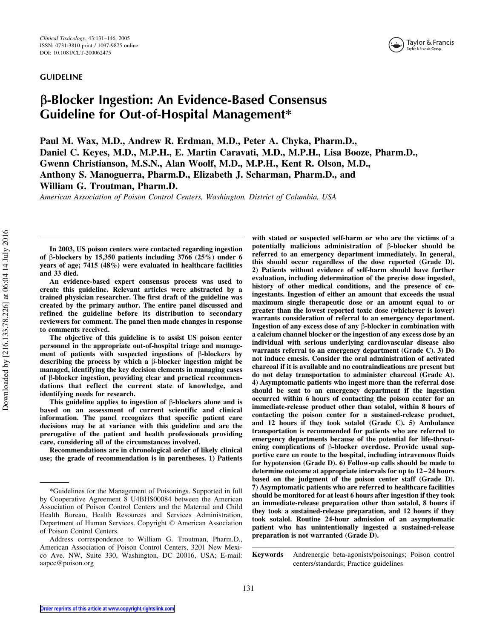#### **GUIDELINE**



## b-Blocker Ingestion: An Evidence-Based Consensus Guideline for Out-of-Hospital Management\*

Paul M. Wax, M.D., Andrew R. Erdman, M.D., Peter A. Chyka, Pharm.D., Daniel C. Keyes, M.D., M.P.H., E. Martin Caravati, M.D., M.P.H., Lisa Booze, Pharm.D., Gwenn Christianson, M.S.N., Alan Woolf, M.D., M.P.H., Kent R. Olson, M.D., Anthony S. Manoguerra, Pharm.D., Elizabeth J. Scharman, Pharm.D., and William G. Troutman, Pharm.D.

American Association of Poison Control Centers, Washington, District of Columbia, USA

In 2003, US poison centers were contacted regarding ingestion of  $\beta$ -blockers by 15,350 patients including 3766 (25%) under 6 years of age; 7415 (48%) were evaluated in healthcare facilities and 33 died.

An evidence-based expert consensus process was used to create this guideline. Relevant articles were abstracted by a trained physician researcher. The first draft of the guideline was created by the primary author. The entire panel discussed and refined the guideline before its distribution to secondary reviewers for comment. The panel then made changes in response to comments received.

The objective of this guideline is to assist US poison center personnel in the appropriate out-of-hospital triage and management of patients with suspected ingestions of  $\beta$ -blockers by describing the process by which a  $\beta$ -blocker ingestion might be managed, identifying the key decision elements in managing cases of  $\beta$ -blocker ingestion, providing clear and practical recommendations that reflect the current state of knowledge, and identifying needs for research.

This guideline applies to ingestion of  $\beta$ -blockers alone and is based on an assessment of current scientific and clinical information. The panel recognizes that specific patient care decisions may be at variance with this guideline and are the prerogative of the patient and health professionals providing care, considering all of the circumstances involved.

Recommendations are in chronological order of likely clinical use; the grade of recommendation is in parentheses. 1) Patients

with stated or suspected self-harm or who are the victims of a potentially malicious administration of  $\beta$ -blocker should be referred to an emergency department immediately. In general, this should occur regardless of the dose reported (Grade D). 2) Patients without evidence of self-harm should have further evaluation, including determination of the precise dose ingested, history of other medical conditions, and the presence of coingestants. Ingestion of either an amount that exceeds the usual maximum single therapeutic dose or an amount equal to or greater than the lowest reported toxic dose (whichever is lower) warrants consideration of referral to an emergency department. Ingestion of any excess dose of any  $\beta$ -blocker in combination with a calcium channel blocker or the ingestion of any excess dose by an individual with serious underlying cardiovascular disease also warrants referral to an emergency department (Grade C). 3) Do not induce emesis. Consider the oral administration of activated charcoal if it is available and no contraindications are present but do not delay transportation to administer charcoal (Grade A). 4) Asymptomatic patients who ingest more than the referral dose should be sent to an emergency department if the ingestion occurred within 6 hours of contacting the poison center for an immediate-release product other than sotalol, within 8 hours of contacting the poison center for a sustained-release product, and 12 hours if they took sotalol (Grade C). 5) Ambulance transportation is recommended for patients who are referred to emergency departments because of the potential for life-threatening complications of  $\beta$ -blocker overdose. Provide usual supportive care en route to the hospital, including intravenous fluids for hypotension (Grade D). 6) Follow-up calls should be made to determine outcome at appropriate intervals for up to 12 – 24 hours based on the judgment of the poison center staff (Grade D). 7) Asymptomatic patients who are referred to healthcare facilities should be monitored for at least 6 hours after ingestion if they took an immediate-release preparation other than sotalol, 8 hours if they took a sustained-release preparation, and 12 hours if they took sotalol. Routine 24-hour admission of an asymptomatic patient who has unintentionally ingested a sustained-release preparation is not warranted (Grade D).

<sup>\*</sup>Guidelines for the Management of Poisonings. Supported in full by Cooperative Agreement 8 U4BHS00084 between the American Association of Poison Control Centers and the Maternal and Child Health Bureau, Health Resources and Services Administration, Department of Human Services. Copyright © American Association of Poison Control Centers.

Address correspondence to William G. Troutman, Pharm.D., American Association of Poison Control Centers, 3201 New Mexico Ave. NW, Suite 330, Washington, DC 20016, USA; E-mail: aapcc@poison.org

Keywords Andrenergic beta-agonists/poisonings; Poison control centers/standards; Practice guidelines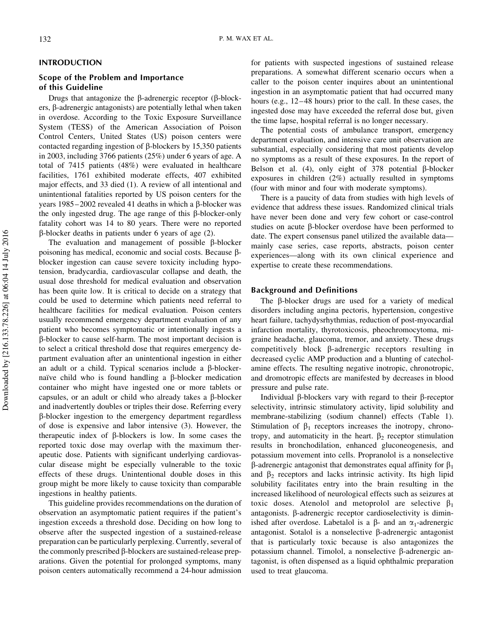#### INTRODUCTION

#### Scope of the Problem and Importance of this Guideline

Drugs that antagonize the  $\beta$ -adrenergic receptor ( $\beta$ -blockers,  $\beta$ -adrenergic antagonists) are potentially lethal when taken in overdose. According to the Toxic Exposure Surveillance System (TESS) of the American Association of Poison Control Centers, United States (US) poison centers were contacted regarding ingestion of  $\beta$ -blockers by 15,350 patients in 2003, including 3766 patients (25%) under 6 years of age. A total of 7415 patients (48%) were evaluated in healthcare facilities, 1761 exhibited moderate effects, 407 exhibited major effects, and 33 died (1). A review of all intentional and unintentional fatalities reported by US poison centers for the years  $1985 - 2002$  revealed 41 deaths in which a  $\beta$ -blocker was the only ingested drug. The age range of this  $\beta$ -blocker-only fatality cohort was 14 to 80 years. There were no reported  $\beta$ -blocker deaths in patients under 6 years of age (2).

The evaluation and management of possible  $\beta$ -blocker poisoning has medical, economic and social costs. Because  $\beta$ blocker ingestion can cause severe toxicity including hypotension, bradycardia, cardiovascular collapse and death, the usual dose threshold for medical evaluation and observation has been quite low. It is critical to decide on a strategy that could be used to determine which patients need referral to healthcare facilities for medical evaluation. Poison centers usually recommend emergency department evaluation of any patient who becomes symptomatic or intentionally ingests a  $\beta$ -blocker to cause self-harm. The most important decision is to select a critical threshold dose that requires emergency department evaluation after an unintentional ingestion in either an adult or a child. Typical scenarios include a  $\beta$ -blockernaïve child who is found handling a  $\beta$ -blocker medication container who might have ingested one or more tablets or capsules, or an adult or child who already takes a  $\beta$ -blocker and inadvertently doubles or triples their dose. Referring every b-blocker ingestion to the emergency department regardless of dose is expensive and labor intensive (3). However, the therapeutic index of  $\beta$ -blockers is low. In some cases the reported toxic dose may overlap with the maximum therapeutic dose. Patients with significant underlying cardiovascular disease might be especially vulnerable to the toxic effects of these drugs. Unintentional double doses in this group might be more likely to cause toxicity than comparable ingestions in healthy patients.

This guideline provides recommendations on the duration of observation an asymptomatic patient requires if the patient's ingestion exceeds a threshold dose. Deciding on how long to observe after the suspected ingestion of a sustained-release preparation can be particularly perplexing. Currently, several of the commonly prescribed β-blockers are sustained-release preparations. Given the potential for prolonged symptoms, many poison centers automatically recommend a 24-hour admission

for patients with suspected ingestions of sustained release preparations. A somewhat different scenario occurs when a caller to the poison center inquires about an unintentional ingestion in an asymptomatic patient that had occurred many hours (e.g., 12–48 hours) prior to the call. In these cases, the ingested dose may have exceeded the referral dose but, given the time lapse, hospital referral is no longer necessary.

The potential costs of ambulance transport, emergency department evaluation, and intensive care unit observation are substantial, especially considering that most patients develop no symptoms as a result of these exposures. In the report of Belson et al. (4), only eight of 378 potential  $\beta$ -blocker exposures in children (2%) actually resulted in symptoms (four with minor and four with moderate symptoms).

There is a paucity of data from studies with high levels of evidence that address these issues. Randomized clinical trials have never been done and very few cohort or case-control studies on acute  $\beta$ -blocker overdose have been performed to date. The expert consensus panel utilized the available data mainly case series, case reports, abstracts, poison center experiences—along with its own clinical experience and expertise to create these recommendations.

#### Background and Definitions

The  $\beta$ -blocker drugs are used for a variety of medical disorders including angina pectoris, hypertension, congestive heart failure, tachydysrhythmias, reduction of post-myocardial infarction mortality, thyrotoxicosis, pheochromocytoma, migraine headache, glaucoma, tremor, and anxiety. These drugs competitively block b-adrenergic receptors resulting in decreased cyclic AMP production and a blunting of catecholamine effects. The resulting negative inotropic, chronotropic, and dromotropic effects are manifested by decreases in blood pressure and pulse rate.

Individual  $\beta$ -blockers vary with regard to their  $\beta$ -receptor selectivity, intrinsic stimulatory activity, lipid solubility and membrane-stabilizing (sodium channel) effects (Table 1). Stimulation of  $\beta_1$  receptors increases the inotropy, chronotropy, and automaticity in the heart.  $\beta_2$  receptor stimulation results in bronchodilation, enhanced gluconeogenesis, and potassium movement into cells. Propranolol is a nonselective  $\beta$ -adrenergic antagonist that demonstrates equal affinity for  $\beta_1$ and  $\beta_2$  receptors and lacks intrinsic activity. Its high lipid solubility facilitates entry into the brain resulting in the increased likelihood of neurological effects such as seizures at toxic doses. Atenolol and metoprolol are selective  $\beta_1$ antagonists. b-adrenergic receptor cardioselectivity is diminished after overdose. Labetalol is a  $\beta$ - and an  $\alpha_1$ -adrenergic antagonist. Sotalol is a nonselective  $\beta$ -adrenergic antagonist that is particularly toxic because is also antagonizes the potassium channel. Timolol, a nonselective  $\beta$ -adrenergic antagonist, is often dispensed as a liquid ophthalmic preparation used to treat glaucoma.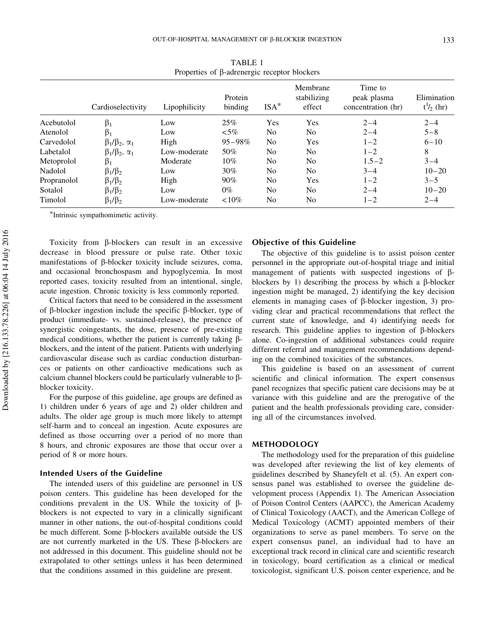| Properties of B-adrenergic receptor blockers |                                |               |                    |                |                                   |                                              |                               |
|----------------------------------------------|--------------------------------|---------------|--------------------|----------------|-----------------------------------|----------------------------------------------|-------------------------------|
|                                              | Cardioselectivity              | Lipophilicity | Protein<br>binding | $ISA^*$        | Membrane<br>stabilizing<br>effect | Time to<br>peak plasma<br>concentration (hr) | Elimination<br>$t^{1/2}$ (hr) |
| Acebutolol                                   | $\beta_1$                      | Low           | 25%                | Yes            | Yes                               | $2 - 4$                                      | $2 - 4$                       |
| Atenolol                                     | $\beta_1$                      | Low           | $<5\%$             | No             | N <sub>0</sub>                    | $2 - 4$                                      | $5 - 8$                       |
| Carvedolol                                   | $\beta_1/\beta_2$ , $\alpha_1$ | High          | $95 - 98\%$        | N <sub>0</sub> | Yes                               | $1 - 2$                                      | $6 - 10$                      |
| Labetalol                                    | $\beta_1/\beta_2$ , $\alpha_1$ | Low-moderate  | 50%                | No             | N <sub>0</sub>                    | $1 - 2$                                      | 8                             |
| Metoprolol                                   | $\beta_1$                      | Moderate      | $10\%$             | No             | N <sub>0</sub>                    | $1.5 - 2$                                    | $3 - 4$                       |
| Nadolol                                      | $\beta_1/\beta_2$              | Low           | 30%                | No             | No                                | $3 - 4$                                      | $10 - 20$                     |

 $(\beta_2$  Low 30% No No 3-4 10-20

 $/ \beta_2$  High 90% No Yes  $1-2$  3-5

TABLE 1 Properties of  $\beta$ -adrenergic receptor blockers

Sotalol  $\beta_1/\beta_2$  Low 0% No No  $2-4$  10-20 Timolol  $\beta_1/\beta_2$  Low-moderate < 10% No No  $1-2$  2-4

\*Intrinsic sympathomimetic activity.

Propranolol  $\beta_1/\beta_2$ 

Toxicity from b-blockers can result in an excessive decrease in blood pressure or pulse rate. Other toxic manifestations of  $\beta$ -blocker toxicity include seizures, coma, and occasional bronchospasm and hypoglycemia. In most reported cases, toxicity resulted from an intentional, single, acute ingestion. Chronic toxicity is less commonly reported.

Critical factors that need to be considered in the assessment of  $\beta$ -blocker ingestion include the specific  $\beta$ -blocker, type of product (immediate- vs. sustained-release), the presence of synergistic coingestants, the dose, presence of pre-existing medical conditions, whether the patient is currently taking  $\beta$ blockers, and the intent of the patient. Patients with underlying cardiovascular disease such as cardiac conduction disturbances or patients on other cardioactive medications such as calcium channel blockers could be particularly vulnerable to  $\beta$ blocker toxicity.

For the purpose of this guideline, age groups are defined as 1) children under 6 years of age and 2) older children and adults. The older age group is much more likely to attempt self-harm and to conceal an ingestion. Acute exposures are defined as those occurring over a period of no more than 8 hours, and chronic exposures are those that occur over a period of 8 or more hours.

#### Intended Users of the Guideline

The intended users of this guideline are personnel in US poison centers. This guideline has been developed for the conditions prevalent in the US. While the toxicity of  $\beta$ blockers is not expected to vary in a clinically significant manner in other nations, the out-of-hospital conditions could be much different. Some  $\beta$ -blockers available outside the US are not currently marketed in the US. These  $\beta$ -blockers are not addressed in this document. This guideline should not be extrapolated to other settings unless it has been determined that the conditions assumed in this guideline are present.

#### Objective of this Guideline

The objective of this guideline is to assist poison center personnel in the appropriate out-of-hospital triage and initial management of patients with suspected ingestions of  $\beta$ blockers by 1) describing the process by which a  $\beta$ -blocker ingestion might be managed, 2) identifying the key decision elements in managing cases of  $\beta$ -blocker ingestion, 3) providing clear and practical recommendations that reflect the current state of knowledge, and 4) identifying needs for research. This guideline applies to ingestion of  $\beta$ -blockers alone. Co-ingestion of additional substances could require different referral and management recommendations depending on the combined toxicities of the substances.

This guideline is based on an assessment of current scientific and clinical information. The expert consensus panel recognizes that specific patient care decisions may be at variance with this guideline and are the prerogative of the patient and the health professionals providing care, considering all of the circumstances involved.

#### METHODOLOGY

The methodology used for the preparation of this guideline was developed after reviewing the list of key elements of guidelines described by Shaneyfelt et al. (5). An expert consensus panel was established to oversee the guideline development process (Appendix 1). The American Association of Poison Control Centers (AAPCC), the American Academy of Clinical Toxicology (AACT), and the American College of Medical Toxicology (ACMT) appointed members of their organizations to serve as panel members. To serve on the expert consensus panel, an individual had to have an exceptional track record in clinical care and scientific research in toxicology, board certification as a clinical or medical toxicologist, significant U.S. poison center experience, and be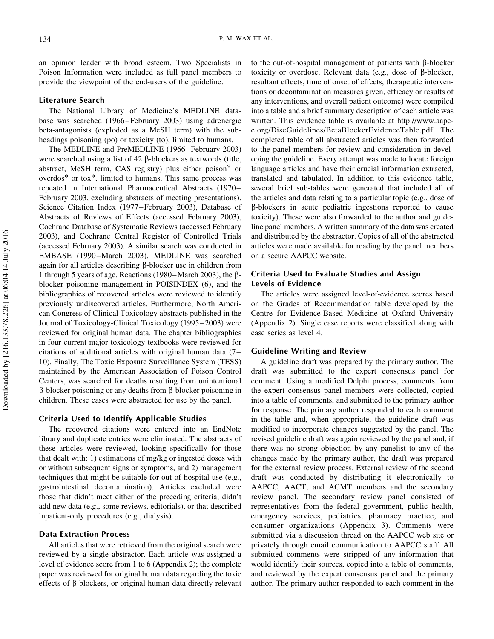an opinion leader with broad esteem. Two Specialists in Poison Information were included as full panel members to provide the viewpoint of the end-users of the guideline.

#### Literature Search

The National Library of Medicine's MEDLINE database was searched (1966 –February 2003) using adrenergic beta-antagonists (exploded as a MeSH term) with the subheadings poisoning (po) or toxicity (to), limited to humans.

The MEDLINE and PreMEDLINE (1966 –February 2003) were searched using a list of  $42 \beta$ -blockers as textwords (title, abstract, MeSH term, CAS registry) plus either poison\* or overdos\* or tox\*, limited to humans. This same process was repeated in International Pharmaceutical Abstracts (1970 – February 2003, excluding abstracts of meeting presentations), Science Citation Index (1977 –February 2003), Database of Abstracts of Reviews of Effects (accessed February 2003), Cochrane Database of Systematic Reviews (accessed February 2003), and Cochrane Central Register of Controlled Trials (accessed February 2003). A similar search was conducted in EMBASE (1990-March 2003). MEDLINE was searched again for all articles describing  $\beta$ -blocker use in children from 1 through 5 years of age. Reactions (1980–March 2003), the  $\beta$ blocker poisoning management in POISINDEX (6), and the bibliographies of recovered articles were reviewed to identify previously undiscovered articles. Furthermore, North American Congress of Clinical Toxicology abstracts published in the Journal of Toxicology-Clinical Toxicology (1995 – 2003) were reviewed for original human data. The chapter bibliographies in four current major toxicology textbooks were reviewed for citations of additional articles with original human data (7 – 10). Finally, The Toxic Exposure Surveillance System (TESS) maintained by the American Association of Poison Control Centers, was searched for deaths resulting from unintentional  $\beta$ -blocker poisoning or any deaths from  $\beta$ -blocker poisoning in children. These cases were abstracted for use by the panel.

#### Criteria Used to Identify Applicable Studies

The recovered citations were entered into an EndNote library and duplicate entries were eliminated. The abstracts of these articles were reviewed, looking specifically for those that dealt with: 1) estimations of mg/kg or ingested doses with or without subsequent signs or symptoms, and 2) management techniques that might be suitable for out-of-hospital use (e.g., gastrointestinal decontamination). Articles excluded were those that didn't meet either of the preceding criteria, didn't add new data (e.g., some reviews, editorials), or that described inpatient-only procedures (e.g., dialysis).

#### Data Extraction Process

All articles that were retrieved from the original search were reviewed by a single abstractor. Each article was assigned a level of evidence score from 1 to 6 (Appendix 2); the complete paper was reviewed for original human data regarding the toxic effects of  $\beta$ -blockers, or original human data directly relevant to the out-of-hospital management of patients with  $\beta$ -blocker toxicity or overdose. Relevant data (e.g., dose of  $\beta$ -blocker, resultant effects, time of onset of effects, therapeutic interventions or decontamination measures given, efficacy or results of any interventions, and overall patient outcome) were compiled into a table and a brief summary description of each article was written. This evidence table is available at http://www.aapcc.org/DiscGuidelines/BetaBlockerEvidenceTable.pdf. The completed table of all abstracted articles was then forwarded to the panel members for review and consideration in developing the guideline. Every attempt was made to locate foreign language articles and have their crucial information extracted, translated and tabulated. In addition to this evidence table, several brief sub-tables were generated that included all of the articles and data relating to a particular topic (e.g., dose of b-blockers in acute pediatric ingestions reported to cause toxicity). These were also forwarded to the author and guideline panel members. A written summary of the data was created and distributed by the abstractor. Copies of all of the abstracted articles were made available for reading by the panel members on a secure AAPCC website.

#### Criteria Used to Evaluate Studies and Assign Levels of Evidence

The articles were assigned level-of-evidence scores based on the Grades of Recommendation table developed by the Centre for Evidence-Based Medicine at Oxford University (Appendix 2). Single case reports were classified along with case series as level 4.

#### Guideline Writing and Review

A guideline draft was prepared by the primary author. The draft was submitted to the expert consensus panel for comment. Using a modified Delphi process, comments from the expert consensus panel members were collected, copied into a table of comments, and submitted to the primary author for response. The primary author responded to each comment in the table and, when appropriate, the guideline draft was modified to incorporate changes suggested by the panel. The revised guideline draft was again reviewed by the panel and, if there was no strong objection by any panelist to any of the changes made by the primary author, the draft was prepared for the external review process. External review of the second draft was conducted by distributing it electronically to AAPCC, AACT, and ACMT members and the secondary review panel. The secondary review panel consisted of representatives from the federal government, public health, emergency services, pediatrics, pharmacy practice, and consumer organizations (Appendix 3). Comments were submitted via a discussion thread on the AAPCC web site or privately through email communication to AAPCC staff. All submitted comments were stripped of any information that would identify their sources, copied into a table of comments, and reviewed by the expert consensus panel and the primary author. The primary author responded to each comment in the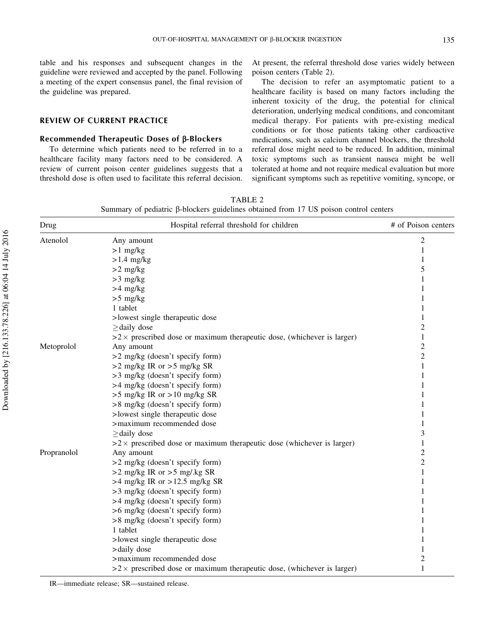table and his responses and subsequent changes in the guideline were reviewed and accepted by the panel. Following a meeting of the expert consensus panel, the final revision of the guideline was prepared.

### REVIEW OF CURRENT PRACTICE

#### Recommended Therapeutic Doses of b-Blockers

To determine which patients need to be referred in to a healthcare facility many factors need to be considered. A review of current poison center guidelines suggests that a threshold dose is often used to facilitate this referral decision.

At present, the referral threshold dose varies widely between poison centers (Table 2).

The decision to refer an asymptomatic patient to a healthcare facility is based on many factors including the inherent toxicity of the drug, the potential for clinical deterioration, underlying medical conditions, and concomitant medical therapy. For patients with pre-existing medical conditions or for those patients taking other cardioactive medications, such as calcium channel blockers, the threshold referral dose might need to be reduced. In addition, minimal toxic symptoms such as transient nausea might be well tolerated at home and not require medical evaluation but more significant symptoms such as repetitive vomiting, syncope, or

TABLE 2 Summary of pediatric  $\beta$ -blockers guidelines obtained from 17 US poison control centers

| Drug        | Hospital referral threshold for children                                       | # of Poison centers |
|-------------|--------------------------------------------------------------------------------|---------------------|
| Atenolol    | Any amount                                                                     | 2                   |
|             | $>1$ mg/kg                                                                     | 1                   |
|             | $>1.4$ mg/kg                                                                   | 1                   |
|             | $>2$ mg/kg                                                                     | 5                   |
|             | $>3$ mg/kg                                                                     | 1                   |
|             | $>4$ mg/kg                                                                     | 1                   |
|             | $>5$ mg/kg                                                                     | 1                   |
|             | 1 tablet                                                                       | 1                   |
|             | >lowest single therapeutic dose                                                | 1                   |
|             | $\geq$ daily dose                                                              | 2                   |
|             | $>2 \times$ prescribed dose or maximum therapeutic dose, (whichever is larger) | 1                   |
| Metoprolol  | Any amount                                                                     | $\overline{c}$      |
|             | >2 mg/kg (doesn't specify form)                                                | $\overline{c}$      |
|             | $>2$ mg/kg IR or $>5$ mg/kg SR                                                 | 1                   |
|             | >3 mg/kg (doesn't specify form)                                                | 1                   |
|             | >4 mg/kg (doesn't specify form)                                                |                     |
|             | $>5$ mg/kg IR or $>10$ mg/kg SR                                                |                     |
|             | >8 mg/kg (doesn't specify form)                                                | 1                   |
|             | >lowest single therapeutic dose                                                | 1                   |
|             | >maximum recommended dose                                                      | 1                   |
|             | $\geq$ daily dose                                                              | 3                   |
|             | $>2 \times$ prescribed dose or maximum therapeutic dose (whichever is larger)  | 1                   |
| Propranolol | Any amount                                                                     | $\overline{c}$      |
|             | >2 mg/kg (doesn't specify form)                                                | $\overline{2}$      |
|             | $>2$ mg/kg IR or $>5$ mg/.kg SR                                                | 1                   |
|             | $>4$ mg/kg IR or $>12.5$ mg/kg SR                                              | 1                   |
|             | >3 mg/kg (doesn't specify form)                                                |                     |
|             | >4 mg/kg (doesn't specify form)                                                |                     |
|             | >6 mg/kg (doesn't specify form)                                                |                     |
|             | >8 mg/kg (doesn't specify form)                                                |                     |
|             | 1 tablet                                                                       |                     |
|             | >lowest single therapeutic dose                                                |                     |
|             | >daily dose                                                                    | 1                   |
|             | >maximum recommended dose                                                      | $\overline{c}$      |
|             | $>2 \times$ prescribed dose or maximum therapeutic dose, (whichever is larger) | $\mathbf{1}$        |

IR—immediate release; SR—sustained release.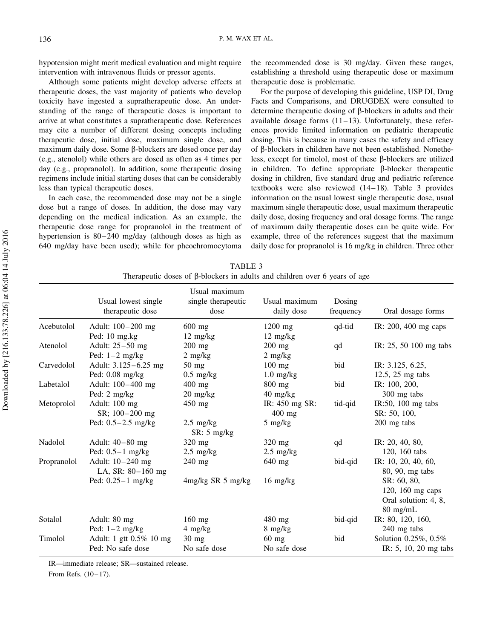hypotension might merit medical evaluation and might require intervention with intravenous fluids or pressor agents.

Although some patients might develop adverse effects at therapeutic doses, the vast majority of patients who develop toxicity have ingested a supratherapeutic dose. An understanding of the range of therapeutic doses is important to arrive at what constitutes a supratherapeutic dose. References may cite a number of different dosing concepts including therapeutic dose, initial dose, maximum single dose, and maximum daily dose. Some  $\beta$ -blockers are dosed once per day (e.g., atenolol) while others are dosed as often as 4 times per day (e.g., propranolol). In addition, some therapeutic dosing regimens include initial starting doses that can be considerably less than typical therapeutic doses.

In each case, the recommended dose may not be a single dose but a range of doses. In addition, the dose may vary depending on the medical indication. As an example, the therapeutic dose range for propranolol in the treatment of hypertension is 80–240 mg/day (although doses as high as 640 mg/day have been used); while for pheochromocytoma

the recommended dose is 30 mg/day. Given these ranges, establishing a threshold using therapeutic dose or maximum therapeutic dose is problematic.

For the purpose of developing this guideline, USP DI, Drug Facts and Comparisons, and DRUGDEX were consulted to determine therapeutic dosing of  $\beta$ -blockers in adults and their available dosage forms  $(11-13)$ . Unfortunately, these references provide limited information on pediatric therapeutic dosing. This is because in many cases the safety and efficacy of  $\beta$ -blockers in children have not been established. Nonetheless, except for timolol, most of these  $\beta$ -blockers are utilized in children. To define appropriate  $\beta$ -blocker therapeutic dosing in children, five standard drug and pediatric reference textbooks were also reviewed (14-18). Table 3 provides information on the usual lowest single therapeutic dose, usual maximum single therapeutic dose, usual maximum therapeutic daily dose, dosing frequency and oral dosage forms. The range of maximum daily therapeutic doses can be quite wide. For example, three of the references suggest that the maximum daily dose for propranolol is 16 mg/kg in children. Three other

| TABLE 3                                                                             |  |
|-------------------------------------------------------------------------------------|--|
| The rappeutic doses of $\beta$ -blockers in adults and children over 6 years of age |  |

|             | Usual lowest single<br>therapeutic dose | Usual maximum<br>single therapeutic<br>dose | Usual maximum<br>daily dose | Dosing<br>frequency | Oral dosage forms      |
|-------------|-----------------------------------------|---------------------------------------------|-----------------------------|---------------------|------------------------|
| Acebutolol  | Adult: 100-200 mg                       | $600$ mg                                    | $1200$ mg                   | qd-tid              | IR: 200, 400 mg caps   |
|             | Ped: 10 mg.kg                           | $12 \text{ mg/kg}$                          | $12 \text{ mg/kg}$          |                     |                        |
| Atenolol    | Adult: 25-50 mg                         | 200 mg                                      | $200$ mg                    | qd                  | IR: 25, 50 100 mg tabs |
|             | Ped: $1-2$ mg/kg                        | $2$ mg/kg                                   | $2$ mg/kg                   |                     |                        |
| Carvedolol  | Adult: 3.125 - 6.25 mg                  | $50$ mg                                     | $100$ mg                    | bid                 | IR: 3.125, 6.25,       |
|             | Ped: $0.08$ mg/kg                       | $0.5$ mg/kg                                 | $1.0$ mg/kg                 |                     | 12.5, 25 mg tabs       |
| Labetalol   | Adult: 100-400 mg                       | 400 mg                                      | $800$ mg                    | bid                 | IR: 100, 200,          |
|             | Ped: 2 mg/kg                            | $20 \text{ mg/kg}$                          | $40$ mg/kg                  |                     | 300 mg tabs            |
| Metoprolol  | Adult: 100 mg                           | $450$ mg                                    | IR: 450 mg SR:              | tid-qid             | IR:50, 100 mg tabs     |
|             | SR; 100-200 mg                          |                                             | $400$ mg                    |                     | SR: 50, 100,           |
|             | Ped: $0.5 - 2.5$ mg/kg                  | $2.5 \text{ mg/kg}$                         | $5 \text{ mg/kg}$           |                     | 200 mg tabs            |
|             |                                         | $SR: 5$ mg/kg                               |                             |                     |                        |
| Nadolol     | Adult: $40-80$ mg                       | $320$ mg                                    | $320$ mg                    | qd                  | IR: 20, 40, 80,        |
|             | Ped: $0.5-1$ mg/kg                      | $2.5 \text{ mg/kg}$                         | $2.5 \text{ mg/kg}$         |                     | 120, 160 tabs          |
| Propranolol | Adult: 10-240 mg                        | 240 mg                                      | $640$ mg                    | bid-qid             | IR: 10, 20, 40, 60,    |
|             | LA, SR: $80-160$ mg                     |                                             |                             |                     | 80, 90, mg tabs        |
|             | Ped: $0.25 - 1$ mg/kg                   | $4mg/kg$ SR 5 mg/kg                         | $16$ mg/kg                  |                     | SR: 60, 80,            |
|             |                                         |                                             |                             |                     | 120, 160 mg caps       |
|             |                                         |                                             |                             |                     | Oral solution: 4, 8,   |
|             |                                         |                                             |                             |                     | $80$ mg/mL             |
| Sotalol     | Adult: 80 mg                            | $160$ mg                                    | $480$ mg                    | bid-qid             | IR: 80, 120, 160,      |
|             | Ped: $1-2$ mg/kg                        | $4$ mg/kg                                   | $8 \text{ mg/kg}$           |                     | 240 mg tabs            |
| Timolol     | Adult: 1 gtt 0.5% 10 mg                 | $30$ mg                                     | $60$ mg                     | bid                 | Solution 0.25%, 0.5%   |
|             | Ped: No safe dose                       | No safe dose                                | No safe dose                |                     | IR: 5, 10, 20 mg tabs  |

IR—immediate release; SR—sustained release.

From Refs.  $(10-17)$ .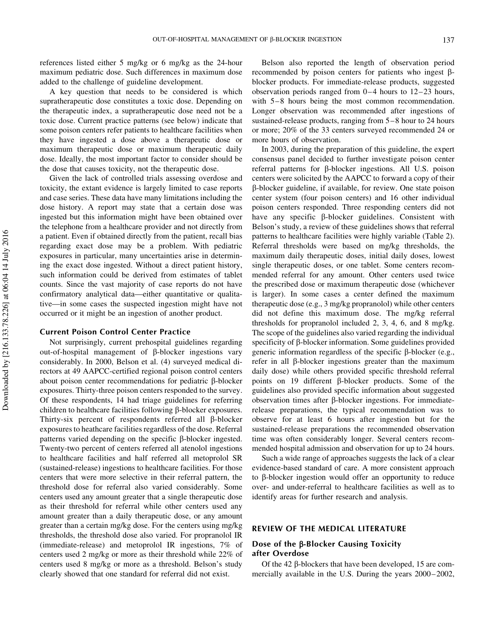references listed either 5 mg/kg or 6 mg/kg as the 24-hour maximum pediatric dose. Such differences in maximum dose added to the challenge of guideline development.

A key question that needs to be considered is which supratherapeutic dose constitutes a toxic dose. Depending on the therapeutic index, a supratherapeutic dose need not be a toxic dose. Current practice patterns (see below) indicate that some poison centers refer patients to healthcare facilities when they have ingested a dose above a therapeutic dose or maximum therapeutic dose or maximum therapeutic daily dose. Ideally, the most important factor to consider should be the dose that causes toxicity, not the therapeutic dose.

Given the lack of controlled trials assessing overdose and toxicity, the extant evidence is largely limited to case reports and case series. These data have many limitations including the dose history. A report may state that a certain dose was ingested but this information might have been obtained over the telephone from a healthcare provider and not directly from a patient. Even if obtained directly from the patient, recall bias regarding exact dose may be a problem. With pediatric exposures in particular, many uncertainties arise in determining the exact dose ingested. Without a direct patient history, such information could be derived from estimates of tablet counts. Since the vast majority of case reports do not have confirmatory analytical data—either quantitative or qualitative—in some cases the suspected ingestion might have not occurred or it might be an ingestion of another product.

#### Current Poison Control Center Practice

Not surprisingly, current prehospital guidelines regarding out-of-hospital management of  $\beta$ -blocker ingestions vary considerably. In 2000, Belson et al. (4) surveyed medical directors at 49 AAPCC-certified regional poison control centers about poison center recommendations for pediatric  $\beta$ -blocker exposures. Thirty-three poison centers responded to the survey. Of these respondents, 14 had triage guidelines for referring children to healthcare facilities following  $\beta$ -blocker exposures. Thirty-six percent of respondents referred all  $\beta$ -blocker exposures to heathcare facilities regardless of the dose. Referral patterns varied depending on the specific  $\beta$ -blocker ingested. Twenty-two percent of centers referred all atenolol ingestions to healthcare facilities and half referred all metoprolol SR (sustained-release) ingestions to healthcare facilities. For those centers that were more selective in their referral pattern, the threshold dose for referral also varied considerably. Some centers used any amount greater that a single therapeutic dose as their threshold for referral while other centers used any amount greater than a daily therapeutic dose, or any amount greater than a certain mg/kg dose. For the centers using mg/kg thresholds, the threshold dose also varied. For propranolol IR (immediate-release) and metoprolol IR ingestions, 7% of centers used 2 mg/kg or more as their threshold while 22% of centers used 8 mg/kg or more as a threshold. Belson's study clearly showed that one standard for referral did not exist.

Belson also reported the length of observation period recommended by poison centers for patients who ingest  $\beta$ blocker products. For immediate-release products, suggested observation periods ranged from  $0-4$  hours to  $12-23$  hours, with  $5-8$  hours being the most common recommendation. Longer observation was recommended after ingestions of sustained-release products, ranging from 5 – 8 hour to 24 hours or more; 20% of the 33 centers surveyed recommended 24 or more hours of observation.

In 2003, during the preparation of this guideline, the expert consensus panel decided to further investigate poison center referral patterns for  $\beta$ -blocker ingestions. All U.S. poison centers were solicited by the AAPCC to forward a copy of their b-blocker guideline, if available, for review. One state poison center system (four poison centers) and 16 other individual poison centers responded. Three responding centers did not have any specific  $\beta$ -blocker guidelines. Consistent with Belson's study, a review of these guidelines shows that referral patterns to healthcare facilities were highly variable (Table 2). Referral thresholds were based on mg/kg thresholds, the maximum daily therapeutic doses, initial daily doses, lowest single therapeutic doses, or one tablet. Some centers recommended referral for any amount. Other centers used twice the prescribed dose or maximum therapeutic dose (whichever is larger). In some cases a center defined the maximum therapeutic dose (e.g., 3 mg/kg propranolol) while other centers did not define this maximum dose. The mg/kg referral thresholds for propranolol included 2, 3, 4, 6, and 8 mg/kg. The scope of the guidelines also varied regarding the individual specificity of  $\beta$ -blocker information. Some guidelines provided generic information regardless of the specific  $\beta$ -blocker (e.g., refer in all b-blocker ingestions greater than the maximum daily dose) while others provided specific threshold referral points on 19 different  $\beta$ -blocker products. Some of the guidelines also provided specific information about suggested observation times after  $\beta$ -blocker ingestions. For immediaterelease preparations, the typical recommendation was to observe for at least 6 hours after ingestion but for the sustained-release preparations the recommended observation time was often considerably longer. Several centers recommended hospital admission and observation for up to 24 hours.

Such a wide range of approaches suggests the lack of a clear evidence-based standard of care. A more consistent approach to  $\beta$ -blocker ingestion would offer an opportunity to reduce over- and under-referral to healthcare facilities as well as to identify areas for further research and analysis.

#### REVIEW OF THE MEDICAL LITERATURE

#### Dose of the β-Blocker Causing Toxicity after Overdose

Of the 42  $\beta$ -blockers that have been developed, 15 are commercially available in the U.S. During the years 2000–2002,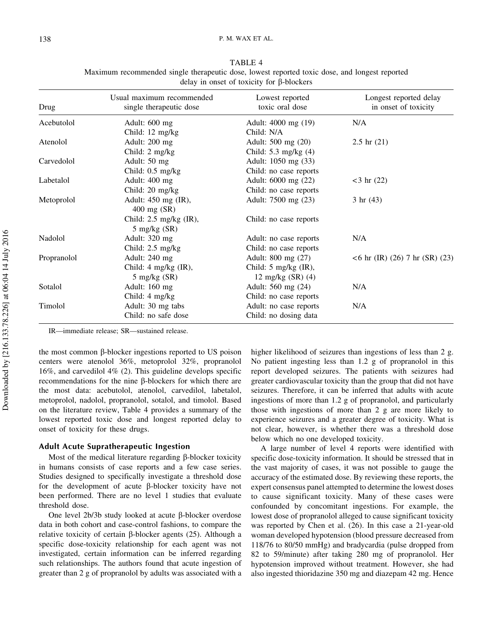|             | delay in onset of toxicity for p-blockers                             |                                                                                      |                                                |  |  |  |
|-------------|-----------------------------------------------------------------------|--------------------------------------------------------------------------------------|------------------------------------------------|--|--|--|
| Drug        | Usual maximum recommended<br>single therapeutic dose                  | Lowest reported<br>toxic oral dose                                                   | Longest reported delay<br>in onset of toxicity |  |  |  |
| Acebutolol  | Adult: 600 mg<br>Child: 12 mg/kg                                      | Adult: 4000 mg (19)<br>Child: N/A                                                    | N/A                                            |  |  |  |
| Atenolol    | Adult: 200 mg<br>Child: 2 mg/kg                                       | Adult: 500 mg (20)<br>Child: 5.3 mg/kg (4)                                           | $2.5 \text{ hr} (21)$                          |  |  |  |
| Carvedolol  | Adult: 50 mg<br>Child: $0.5 \text{ mg/kg}$                            | Adult: 1050 mg (33)<br>Child: no case reports                                        |                                                |  |  |  |
| Labetalol   | Adult: 400 mg<br>Child: 20 mg/kg                                      | Adult: 6000 mg (22)<br>Child: no case reports                                        | $<$ 3 hr $(22)$                                |  |  |  |
| Metoprolol  | Adult: 450 mg (IR),<br>$400$ mg $(SR)$<br>Child: 2.5 mg/kg (IR),      | Adult: 7500 mg (23)<br>Child: no case reports                                        | $3 \text{ hr} (43)$                            |  |  |  |
| Nadolol     | $5 \text{ mg/kg}$ (SR)<br>Adult: 320 mg<br>Child: $2.5 \text{ mg/kg}$ | Adult: no case reports<br>Child: no case reports                                     | N/A                                            |  |  |  |
| Propranolol | Adult: 240 mg<br>Child: 4 mg/kg (IR),<br>$5$ mg/kg $(SR)$             | Adult: 800 mg (27)<br>Child: $5 \text{ mg/kg (IR)}$ ,<br>$12 \text{ mg/kg}$ (SR) (4) | $<$ 6 hr (IR) (26) 7 hr (SR) (23)              |  |  |  |
| Sotalol     | Adult: 160 mg<br>Child: 4 mg/kg                                       | Adult: 560 mg (24)<br>Child: no case reports                                         | N/A                                            |  |  |  |
| Timolol     | Adult: 30 mg tabs                                                     | Adult: no case reports                                                               | N/A                                            |  |  |  |

Child: no safe dose Child: no dosing data

TABLE 4 Maximum recommended single therapeutic dose, lowest reported toxic dose, and longest reported  $d$ elay in onset of toxicity for  $\beta$ -block

IR—immediate release; SR—sustained release.

the most common  $\beta$ -blocker ingestions reported to US poison centers were atenolol 36%, metoprolol 32%, propranolol 16%, and carvedilol 4% (2). This guideline develops specific recommendations for the nine  $\beta$ -blockers for which there are the most data: acebutolol, atenolol, carvedilol, labetalol, metoprolol, nadolol, propranolol, sotalol, and timolol. Based on the literature review, Table 4 provides a summary of the lowest reported toxic dose and longest reported delay to onset of toxicity for these drugs.

#### Adult Acute Supratherapeutic Ingestion

Most of the medical literature regarding  $\beta$ -blocker toxicity in humans consists of case reports and a few case series. Studies designed to specifically investigate a threshold dose for the development of acute  $\beta$ -blocker toxicity have not been performed. There are no level 1 studies that evaluate threshold dose.

One level  $2b/3b$  study looked at acute  $\beta$ -blocker overdose data in both cohort and case-control fashions, to compare the relative toxicity of certain b-blocker agents (25). Although a specific dose-toxicity relationship for each agent was not investigated, certain information can be inferred regarding such relationships. The authors found that acute ingestion of greater than 2 g of propranolol by adults was associated with a higher likelihood of seizures than ingestions of less than 2 g. No patient ingesting less than 1.2 g of propranolol in this report developed seizures. The patients with seizures had greater cardiovascular toxicity than the group that did not have seizures. Therefore, it can be inferred that adults with acute ingestions of more than 1.2 g of propranolol, and particularly those with ingestions of more than 2 g are more likely to experience seizures and a greater degree of toxicity. What is not clear, however, is whether there was a threshold dose below which no one developed toxicity.

A large number of level 4 reports were identified with specific dose-toxicity information. It should be stressed that in the vast majority of cases, it was not possible to gauge the accuracy of the estimated dose. By reviewing these reports, the expert consensus panel attempted to determine the lowest doses to cause significant toxicity. Many of these cases were confounded by concomitant ingestions. For example, the lowest dose of propranolol alleged to cause significant toxicity was reported by Chen et al. (26). In this case a 21-year-old woman developed hypotension (blood pressure decreased from 118/76 to 80/50 mmHg) and bradycardia (pulse dropped from 82 to 59/minute) after taking 280 mg of propranolol. Her hypotension improved without treatment. However, she had also ingested thioridazine 350 mg and diazepam 42 mg. Hence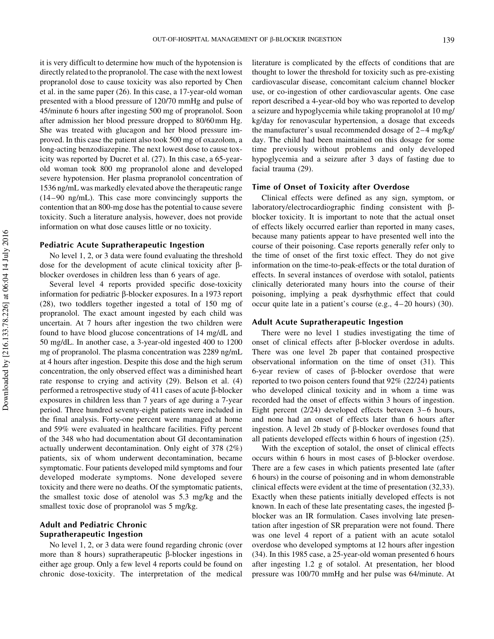it is very difficult to determine how much of the hypotension is directly related to the propranolol. The case with the next lowest propranolol dose to cause toxicity was also reported by Chen et al. in the same paper (26). In this case, a 17-year-old woman presented with a blood pressure of 120/70 mmHg and pulse of 45/minute 6 hours after ingesting 500 mg of propranolol. Soon after admission her blood pressure dropped to 80/60mm Hg. She was treated with glucagon and her blood pressure improved. In this case the patient also took 500 mg of oxazolom, a long-acting benzodiazepine. The next lowest dose to cause toxicity was reported by Ducret et al. (27). In this case, a 65-yearold woman took 800 mg propranolol alone and developed severe hypotension. Her plasma propranolol concentration of 1536 ng/mL was markedly elevated above the therapeutic range (14 – 90 ng/mL). This case more convincingly supports the contention that an 800-mg dose has the potential to cause severe toxicity. Such a literature analysis, however, does not provide information on what dose causes little or no toxicity.

#### Pediatric Acute Supratherapeutic Ingestion

No level 1, 2, or 3 data were found evaluating the threshold dose for the development of acute clinical toxicity after bblocker overdoses in children less than 6 years of age.

Several level 4 reports provided specific dose-toxicity information for pediatric  $\beta$ -blocker exposures. In a 1973 report (28), two toddlers together ingested a total of 150 mg of propranolol. The exact amount ingested by each child was uncertain. At 7 hours after ingestion the two children were found to have blood glucose concentrations of 14 mg/dL and 50 mg/dL. In another case, a 3-year-old ingested 400 to 1200 mg of propranolol. The plasma concentration was 2289 ng/mL at 4 hours after ingestion. Despite this dose and the high serum concentration, the only observed effect was a diminished heart rate response to crying and activity (29). Belson et al. (4) performed a retrospective study of 411 cases of acute  $\beta$ -blocker exposures in children less than 7 years of age during a 7-year period. Three hundred seventy-eight patients were included in the final analysis. Forty-one percent were managed at home and 59% were evaluated in healthcare facilities. Fifty percent of the 348 who had documentation about GI decontamination actually underwent decontamination. Only eight of 378 (2%) patients, six of whom underwent decontamination, became symptomatic. Four patients developed mild symptoms and four developed moderate symptoms. None developed severe toxicity and there were no deaths. Of the symptomatic patients, the smallest toxic dose of atenolol was 5.3 mg/kg and the smallest toxic dose of propranolol was 5 mg/kg.

#### Adult and Pediatric Chronic Supratherapeutic Ingestion

No level 1, 2, or 3 data were found regarding chronic (over more than 8 hours) supratherapeutic  $\beta$ -blocker ingestions in either age group. Only a few level 4 reports could be found on chronic dose-toxicity. The interpretation of the medical

literature is complicated by the effects of conditions that are thought to lower the threshold for toxicity such as pre-existing cardiovascular disease, concomitant calcium channel blocker use, or co-ingestion of other cardiovascular agents. One case report described a 4-year-old boy who was reported to develop a seizure and hypoglycemia while taking propranolol at 10 mg/ kg/day for renovascular hypertension, a dosage that exceeds the manufacturer's usual recommended dosage of  $2-4$  mg/kg/ day. The child had been maintained on this dosage for some time previously without problems and only developed hypoglycemia and a seizure after 3 days of fasting due to facial trauma (29).

#### Time of Onset of Toxicity after Overdose

Clinical effects were defined as any sign, symptom, or laboratory/electrocardiographic finding consistent with bblocker toxicity. It is important to note that the actual onset of effects likely occurred earlier than reported in many cases, because many patients appear to have presented well into the course of their poisoning. Case reports generally refer only to the time of onset of the first toxic effect. They do not give information on the time-to-peak-effects or the total duration of effects. In several instances of overdose with sotalol, patients clinically deteriorated many hours into the course of their poisoning, implying a peak dysrhythmic effect that could occur quite late in a patient's course (e.g., 4– 20 hours) (30).

#### Adult Acute Supratherapeutic Ingestion

There were no level 1 studies investigating the time of onset of clinical effects after  $\beta$ -blocker overdose in adults. There was one level 2b paper that contained prospective observational information on the time of onset (31). This 6-year review of cases of  $\beta$ -blocker overdose that were reported to two poison centers found that 92% (22/24) patients who developed clinical toxicity and in whom a time was recorded had the onset of effects within 3 hours of ingestion. Eight percent (2/24) developed effects between 3–6 hours, and none had an onset of effects later than 6 hours after ingestion. A level 2b study of  $\beta$ -blocker overdoses found that all patients developed effects within 6 hours of ingestion (25).

With the exception of sotalol, the onset of clinical effects occurs within 6 hours in most cases of b-blocker overdose. There are a few cases in which patients presented late (after 6 hours) in the course of poisoning and in whom demonstrable clinical effects were evident at the time of presentation (32,33). Exactly when these patients initially developed effects is not known. In each of these late presentating cases, the ingested  $\beta$ blocker was an IR formulation. Cases involving late presentation after ingestion of SR preparation were not found. There was one level 4 report of a patient with an acute sotalol overdose who developed symptoms at 12 hours after ingestion (34). In this 1985 case, a 25-year-old woman presented 6 hours after ingesting 1.2 g of sotalol. At presentation, her blood pressure was 100/70 mmHg and her pulse was 64/minute. At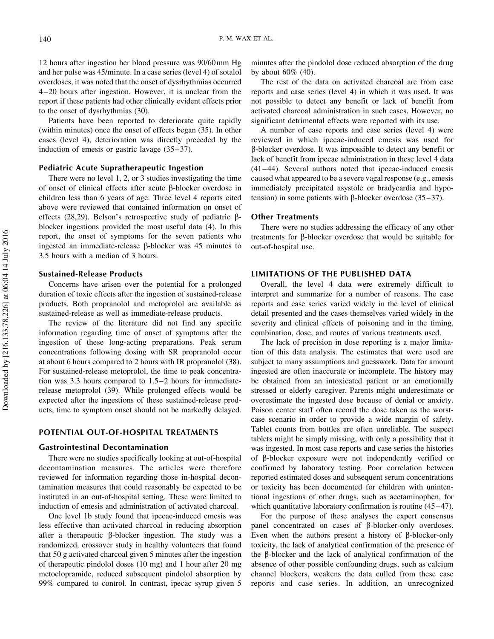12 hours after ingestion her blood pressure was 90/60mm Hg and her pulse was 45/minute. In a case series (level 4) of sotalol overdoses, it was noted that the onset of dysrhythmias occurred 4 –20 hours after ingestion. However, it is unclear from the report if these patients had other clinically evident effects prior to the onset of dysrhythmias (30).

Patients have been reported to deteriorate quite rapidly (within minutes) once the onset of effects began (35). In other cases (level 4), deterioration was directly preceded by the induction of emesis or gastric lavage  $(35-37)$ .

#### Pediatric Acute Supratherapeutic Ingestion

There were no level 1, 2, or 3 studies investigating the time of onset of clinical effects after acute  $\beta$ -blocker overdose in children less than 6 years of age. Three level 4 reports cited above were reviewed that contained information on onset of effects (28,29). Belson's retrospective study of pediatric  $\beta$ blocker ingestions provided the most useful data (4). In this report, the onset of symptoms for the seven patients who ingested an immediate-release  $\beta$ -blocker was 45 minutes to 3.5 hours with a median of 3 hours.

#### Sustained-Release Products

Concerns have arisen over the potential for a prolonged duration of toxic effects after the ingestion of sustained-release products. Both propranolol and metoprolol are available as sustained-release as well as immediate-release products.

The review of the literature did not find any specific information regarding time of onset of symptoms after the ingestion of these long-acting preparations. Peak serum concentrations following dosing with SR propranolol occur at about 6 hours compared to 2 hours with IR propranolol (38). For sustained-release metoprolol, the time to peak concentration was 3.3 hours compared to 1.5 –2 hours for immediaterelease metoprolol (39). While prolonged effects would be expected after the ingestions of these sustained-release products, time to symptom onset should not be markedly delayed.

#### POTENTIAL OUT-OF-HOSPITAL TREATMENTS

#### Gastrointestinal Decontamination

There were no studies specifically looking at out-of-hospital decontamination measures. The articles were therefore reviewed for information regarding those in-hospital decontamination measures that could reasonably be expected to be instituted in an out-of-hospital setting. These were limited to induction of emesis and administration of activated charcoal.

One level 1b study found that ipecac-induced emesis was less effective than activated charcoal in reducing absorption after a therapeutic  $\beta$ -blocker ingestion. The study was a randomized, crossover study in healthy volunteers that found that 50 g activated charcoal given 5 minutes after the ingestion of therapeutic pindolol doses (10 mg) and 1 hour after 20 mg metoclopramide, reduced subsequent pindolol absorption by 99% compared to control. In contrast, ipecac syrup given 5

minutes after the pindolol dose reduced absorption of the drug by about  $60\%$  (40).

The rest of the data on activated charcoal are from case reports and case series (level 4) in which it was used. It was not possible to detect any benefit or lack of benefit from activated charcoal administration in such cases. However, no significant detrimental effects were reported with its use.

A number of case reports and case series (level 4) were reviewed in which ipecac-induced emesis was used for b-blocker overdose. It was impossible to detect any benefit or lack of benefit from ipecac administration in these level 4 data (41 –44). Several authors noted that ipecac-induced emesis caused what appeared to be a severe vagal response (e.g., emesis immediately precipitated asystole or bradycardia and hypotension) in some patients with  $\beta$ -blocker overdose (35–37).

#### Other Treatments

There were no studies addressing the efficacy of any other treatments for β-blocker overdose that would be suitable for out-of-hospital use.

#### LIMITATIONS OF THE PUBLISHED DATA

Overall, the level 4 data were extremely difficult to interpret and summarize for a number of reasons. The case reports and case series varied widely in the level of clinical detail presented and the cases themselves varied widely in the severity and clinical effects of poisoning and in the timing, combination, dose, and routes of various treatments used.

The lack of precision in dose reporting is a major limitation of this data analysis. The estimates that were used are subject to many assumptions and guesswork. Data for amount ingested are often inaccurate or incomplete. The history may be obtained from an intoxicated patient or an emotionally stressed or elderly caregiver. Parents might underestimate or overestimate the ingested dose because of denial or anxiety. Poison center staff often record the dose taken as the worstcase scenario in order to provide a wide margin of safety. Tablet counts from bottles are often unreliable. The suspect tablets might be simply missing, with only a possibility that it was ingested. In most case reports and case series the histories of b-blocker exposure were not independently verified or confirmed by laboratory testing. Poor correlation between reported estimated doses and subsequent serum concentrations or toxicity has been documented for children with unintentional ingestions of other drugs, such as acetaminophen, for which quantitative laboratory confirmation is routine  $(45-47)$ .

For the purpose of these analyses the expert consensus panel concentrated on cases of b-blocker-only overdoses. Even when the authors present a history of  $\beta$ -blocker-only toxicity, the lack of analytical confirmation of the presence of the  $\beta$ -blocker and the lack of analytical confirmation of the absence of other possible confounding drugs, such as calcium channel blockers, weakens the data culled from these case reports and case series. In addition, an unrecognized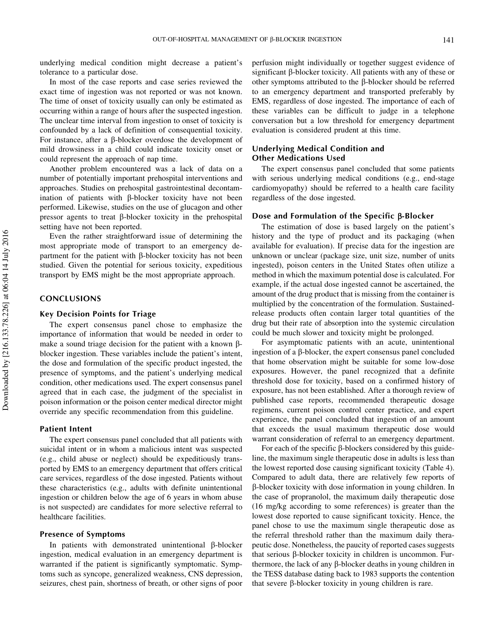underlying medical condition might decrease a patient's tolerance to a particular dose.

In most of the case reports and case series reviewed the exact time of ingestion was not reported or was not known. The time of onset of toxicity usually can only be estimated as occurring within a range of hours after the suspected ingestion. The unclear time interval from ingestion to onset of toxicity is confounded by a lack of definition of consequential toxicity. For instance, after a  $\beta$ -blocker overdose the development of mild drowsiness in a child could indicate toxicity onset or could represent the approach of nap time.

Another problem encountered was a lack of data on a number of potentially important prehospital interventions and approaches. Studies on prehospital gastrointestinal decontamination of patients with  $\beta$ -blocker toxicity have not been performed. Likewise, studies on the use of glucagon and other pressor agents to treat  $\beta$ -blocker toxicity in the prehospital setting have not been reported.

Even the rather straightforward issue of determining the most appropriate mode of transport to an emergency department for the patient with  $\beta$ -blocker toxicity has not been studied. Given the potential for serious toxicity, expeditious transport by EMS might be the most appropriate approach.

#### **CONCLUSIONS**

#### Key Decision Points for Triage

The expert consensus panel chose to emphasize the importance of information that would be needed in order to make a sound triage decision for the patient with a known  $\beta$ blocker ingestion. These variables include the patient's intent, the dose and formulation of the specific product ingested, the presence of symptoms, and the patient's underlying medical condition, other medications used. The expert consensus panel agreed that in each case, the judgment of the specialist in poison information or the poison center medical director might override any specific recommendation from this guideline.

#### Patient Intent

The expert consensus panel concluded that all patients with suicidal intent or in whom a malicious intent was suspected (e.g., child abuse or neglect) should be expeditiously transported by EMS to an emergency department that offers critical care services, regardless of the dose ingested. Patients without these characteristics (e.g., adults with definite unintentional ingestion or children below the age of 6 years in whom abuse is not suspected) are candidates for more selective referral to healthcare facilities.

#### Presence of Symptoms

In patients with demonstrated unintentional  $\beta$ -blocker ingestion, medical evaluation in an emergency department is warranted if the patient is significantly symptomatic. Symptoms such as syncope, generalized weakness, CNS depression, seizures, chest pain, shortness of breath, or other signs of poor

perfusion might individually or together suggest evidence of significant  $\beta$ -blocker toxicity. All patients with any of these or other symptoms attributed to the  $\beta$ -blocker should be referred to an emergency department and transported preferably by EMS, regardless of dose ingested. The importance of each of these variables can be difficult to judge in a telephone conversation but a low threshold for emergency department evaluation is considered prudent at this time.

#### Underlying Medical Condition and Other Medications Used

The expert consensus panel concluded that some patients with serious underlying medical conditions (e.g., end-stage cardiomyopathy) should be referred to a health care facility regardless of the dose ingested.

#### Dose and Formulation of the Specific  $\beta$ -Blocker

The estimation of dose is based largely on the patient's history and the type of product and its packaging (when available for evaluation). If precise data for the ingestion are unknown or unclear (package size, unit size, number of units ingested), poison centers in the United States often utilize a method in which the maximum potential dose is calculated. For example, if the actual dose ingested cannot be ascertained, the amount of the drug product that is missing from the container is multiplied by the concentration of the formulation. Sustainedrelease products often contain larger total quantities of the drug but their rate of absorption into the systemic circulation could be much slower and toxicity might be prolonged.

For asymptomatic patients with an acute, unintentional ingestion of a  $\beta$ -blocker, the expert consensus panel concluded that home observation might be suitable for some low-dose exposures. However, the panel recognized that a definite threshold dose for toxicity, based on a confirmed history of exposure, has not been established. After a thorough review of published case reports, recommended therapeutic dosage regimens, current poison control center practice, and expert experience, the panel concluded that ingestion of an amount that exceeds the usual maximum therapeutic dose would warrant consideration of referral to an emergency department.

For each of the specific  $\beta$ -blockers considered by this guideline, the maximum single therapeutic dose in adults is less than the lowest reported dose causing significant toxicity (Table 4). Compared to adult data, there are relatively few reports of b-blocker toxicity with dose information in young children. In the case of propranolol, the maximum daily therapeutic dose (16 mg/kg according to some references) is greater than the lowest dose reported to cause significant toxicity. Hence, the panel chose to use the maximum single therapeutic dose as the referral threshold rather than the maximum daily therapeutic dose. Nonetheless, the paucity of reported cases suggests that serious  $\beta$ -blocker toxicity in children is uncommon. Furthermore, the lack of any  $\beta$ -blocker deaths in young children in the TESS database dating back to 1983 supports the contention that severe  $\beta$ -blocker toxicity in young children is rare.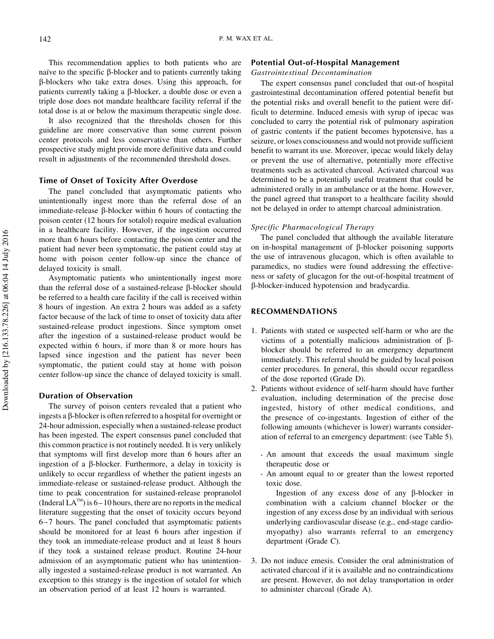This recommendation applies to both patients who are naïve to the specific  $\beta$ -blocker and to patients currently taking  $\beta$ -blockers who take extra doses. Using this approach, for patients currently taking a  $\beta$ -blocker, a double dose or even a triple dose does not mandate healthcare facility referral if the total dose is at or below the maximum therapeutic single dose.

It also recognized that the thresholds chosen for this guideline are more conservative than some current poison center protocols and less conservative than others. Further prospective study might provide more definitive data and could result in adjustments of the recommended threshold doses.

#### Time of Onset of Toxicity After Overdose

The panel concluded that asymptomatic patients who unintentionally ingest more than the referral dose of an immediate-release  $\beta$ -blocker within 6 hours of contacting the poison center (12 hours for sotalol) require medical evaluation in a healthcare facility. However, if the ingestion occurred more than 6 hours before contacting the poison center and the patient had never been symptomatic, the patient could stay at home with poison center follow-up since the chance of delayed toxicity is small.

Asymptomatic patients who unintentionally ingest more than the referral dose of a sustained-release  $\beta$ -blocker should be referred to a health care facility if the call is received within 8 hours of ingestion. An extra 2 hours was added as a safety factor because of the lack of time to onset of toxicity data after sustained-release product ingestions. Since symptom onset after the ingestion of a sustained-release product would be expected within 6 hours, if more than 8 or more hours has lapsed since ingestion and the patient has never been symptomatic, the patient could stay at home with poison center follow-up since the chance of delayed toxicity is small.

#### Duration of Observation

The survey of poison centers revealed that a patient who ingests a  $\beta$ -blocker is often referred to a hospital for overnight or 24-hour admission, especially when a sustained-release product has been ingested. The expert consensus panel concluded that this common practice is not routinely needed. It is very unlikely that symptoms will first develop more than 6 hours after an ingestion of a  $\beta$ -blocker. Furthermore, a delay in toxicity is unlikely to occur regardless of whether the patient ingests an immediate-release or sustained-release product. Although the time to peak concentration for sustained-release propranolol (Inderal LA<sup>TM</sup>) is 6–10 hours, there are no reports in the medical literature suggesting that the onset of toxicity occurs beyond 6 –7 hours. The panel concluded that asymptomatic patients should be monitored for at least 6 hours after ingestion if they took an immediate-release product and at least 8 hours if they took a sustained release product. Routine 24-hour admission of an asymptomatic patient who has unintentionally ingested a sustained-release product is not warranted. An exception to this strategy is the ingestion of sotalol for which an observation period of at least 12 hours is warranted.

#### Potential Out-of-Hospital Management

#### Gastrointestinal Decontamination

The expert consensus panel concluded that out-of hospital gastrointestinal decontamination offered potential benefit but the potential risks and overall benefit to the patient were difficult to determine. Induced emesis with syrup of ipecac was concluded to carry the potential risk of pulmonary aspiration of gastric contents if the patient becomes hypotensive, has a seizure, or loses consciousness and would not provide sufficient benefit to warrant its use. Moreover, ipecac would likely delay or prevent the use of alternative, potentially more effective treatments such as activated charcoal. Activated charcoal was determined to be a potentially useful treatment that could be administered orally in an ambulance or at the home. However, the panel agreed that transport to a healthcare facility should not be delayed in order to attempt charcoal administration.

#### Specific Pharmacological Therapy

The panel concluded that although the available literature on in-hospital management of  $\beta$ -blocker poisoning supports the use of intravenous glucagon, which is often available to paramedics, no studies were found addressing the effectiveness or safety of glucagon for the out-of-hospital treatment of b-blocker-induced hypotension and bradycardia.

#### RECOMMENDATIONS

- 1. Patients with stated or suspected self-harm or who are the victims of a potentially malicious administration of  $\beta$ blocker should be referred to an emergency department immediately. This referral should be guided by local poison center procedures. In general, this should occur regardless of the dose reported (Grade D).
- 2. Patients without evidence of self-harm should have further evaluation, including determination of the precise dose ingested, history of other medical conditions, and the presence of co-ingestants. Ingestion of either of the following amounts (whichever is lower) warrants consideration of referral to an emergency department: (see Table 5).
	- . An amount that exceeds the usual maximum single therapeutic dose or
	- . An amount equal to or greater than the lowest reported toxic dose.

Ingestion of any excess dose of any  $\beta$ -blocker in combination with a calcium channel blocker or the ingestion of any excess dose by an individual with serious underlying cardiovascular disease (e.g., end-stage cardiomyopathy) also warrants referral to an emergency department (Grade C).

3. Do not induce emesis. Consider the oral administration of activated charcoal if it is available and no contraindications are present. However, do not delay transportation in order to administer charcoal (Grade A).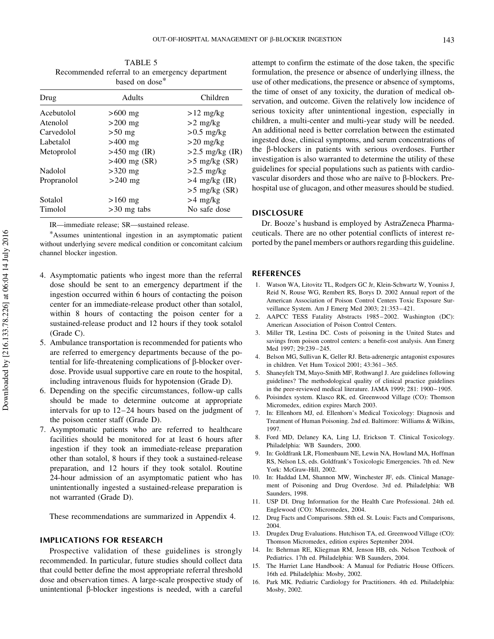TABLE 5 Recommended referral to an emergency department based on dose\*

| Drug        | <b>Adults</b>  | Children          |
|-------------|----------------|-------------------|
| Acebutolol  | $>600$ mg      | $>12$ mg/kg       |
| Atenolol    | $>200$ mg      | $>2$ mg/kg        |
| Carvedolol  | $>50$ mg       | $>0.5$ mg/kg      |
| Labetalol   | $>400$ mg      | $>20$ mg/kg       |
| Metoprolol  | $>450$ mg (IR) | $>2.5$ mg/kg (IR) |
|             | $>400$ mg (SR) | $>5$ mg/kg (SR)   |
| Nadolol     | $>320$ mg      | $>2.5$ mg/kg      |
| Propranolol | $>240$ mg      | $>4$ mg/kg (IR)   |
|             |                | $>5$ mg/kg (SR)   |
| Sotalol     | $>160$ mg      | $>4$ mg/kg        |
| Timolol     | $>30$ mg tabs  | No safe dose      |

IR—immediate release; SR—sustained release.

\*Assumes unintentional ingestion in an asymptomatic patient without underlying severe medical condition or concomitant calcium channel blocker ingestion.

- 4. Asymptomatic patients who ingest more than the referral dose should be sent to an emergency department if the ingestion occurred within 6 hours of contacting the poison center for an immediate-release product other than sotalol, within 8 hours of contacting the poison center for a sustained-release product and 12 hours if they took sotalol (Grade C).
- 5. Ambulance transportation is recommended for patients who are referred to emergency departments because of the potential for life-threatening complications of  $\beta$ -blocker overdose. Provide usual supportive care en route to the hospital, including intravenous fluids for hypotension (Grade D).
- 6. Depending on the specific circumstances, follow-up calls should be made to determine outcome at appropriate intervals for up to  $12-24$  hours based on the judgment of the poison center staff (Grade D).
- 7. Asymptomatic patients who are referred to healthcare facilities should be monitored for at least 6 hours after ingestion if they took an immediate-release preparation other than sotalol, 8 hours if they took a sustained-release preparation, and 12 hours if they took sotalol. Routine 24-hour admission of an asymptomatic patient who has unintentionally ingested a sustained-release preparation is not warranted (Grade D).

These recommendations are summarized in Appendix 4.

#### IMPLICATIONS FOR RESEARCH

Prospective validation of these guidelines is strongly recommended. In particular, future studies should collect data that could better define the most appropriate referral threshold dose and observation times. A large-scale prospective study of unintentional  $\beta$ -blocker ingestions is needed, with a careful

attempt to confirm the estimate of the dose taken, the specific formulation, the presence or absence of underlying illness, the use of other medications, the presence or absence of symptoms, the time of onset of any toxicity, the duration of medical observation, and outcome. Given the relatively low incidence of serious toxicity after unintentional ingestion, especially in children, a multi-center and multi-year study will be needed. An additional need is better correlation between the estimated ingested dose, clinical symptoms, and serum concentrations of the  $\beta$ -blockers in patients with serious overdoses. Further investigation is also warranted to determine the utility of these guidelines for special populations such as patients with cardiovascular disorders and those who are naïve to  $\beta$ -blockers. Prehospital use of glucagon, and other measures should be studied.

#### **DISCLOSURE**

Dr. Booze's husband is employed by AstraZeneca Pharmaceuticals. There are no other potential conflicts of interest reported by the panel members or authors regarding this guideline.

#### **REFERENCES**

- 1. Watson WA, Litovitz TL, Rodgers GC Jr, Klein-Schwartz W, Youniss J, Reid N, Rouse WG, Rembert RS, Borys D. 2002 Annual report of the American Association of Poison Control Centers Toxic Exposure Surveillance System. Am J Emerg Med 2003; 21:353 – 421.
- 2. AAPCC TESS Fatality Abstracts 1985 2002. Washington (DC): American Association of Poison Control Centers.
- 3. Miller TR, Lestina DC. Costs of poisoning in the United States and savings from poison control centers: a benefit-cost analysis. Ann Emerg Med 1997; 29:239 – 245.
- 4. Belson MG, Sullivan K, Geller RJ. Beta-adrenergic antagonist exposures in children. Vet Hum Toxicol 2001; 43:361 – 365.
- 5. Shaneyfelt TM, Mayo-Smith MF, Rothwangl J. Are guidelines following guidelines? The methodological quality of clinical practice guidelines in the peer-reviewed medical literature. JAMA 1999; 281: 1900-1905.
- 6. Poisindex system. Klasco RK, ed. Greenwood Village (CO): Thomson Micromedex, edition expires March 2003.
- 7. In: Ellenhorn MJ, ed. Ellenhorn's Medical Toxicology: Diagnosis and Treatment of Human Poisoning. 2nd ed. Baltimore: Williams & Wilkins, 1997.
- 8. Ford MD, Delaney KA, Ling LJ, Erickson T. Clinical Toxicology. Philadelphia: WB Saunders, 2000.
- 9. In: Goldfrank LR, Flomenbaum NE, Lewin NA, Howland MA, Hoffman RS, Nelson LS, eds. Goldfrank's Toxicologic Emergencies. 7th ed. New York: McGraw-Hill, 2002.
- 10. In: Haddad LM, Shannon MW, Winchester JF, eds. Clinical Management of Poisoning and Drug Overdose. 3rd ed. Philadelphia: WB Saunders, 1998.
- 11. USP DI. Drug Information for the Health Care Professional. 24th ed. Englewood (CO): Micromedex, 2004.
- 12. Drug Facts and Comparisons. 58th ed. St. Louis: Facts and Comparisons, 2004.
- 13. Drugdex Drug Evaluations. Hutchison TA, ed. Greenwood Village (CO): Thomson Micromedex, edition expires September 2004.
- 14. In: Behrman RE, Kliegman RM, Jenson HB, eds. Nelson Textbook of Pediatrics. 17th ed. Philadelphia: WB Saunders, 2004.
- 15. The Harriet Lane Handbook: A Manual for Pediatric House Officers. 16th ed. Philadelphia: Mosby, 2002.
- 16. Park MK. Pediatric Cardiology for Practitioners. 4th ed. Philadelphia: Mosby, 2002.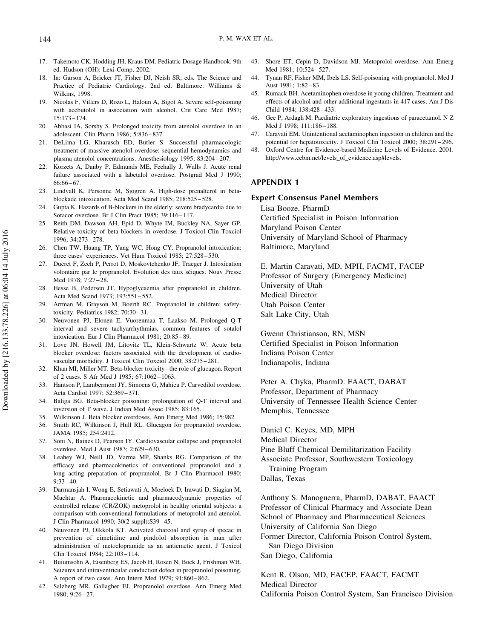- 17. Takemoto CK, Hodding JH, Kraus DM. Pediatric Dosage Handbook. 9th ed. Hudson (OH): Lexi-Comp, 2002.
- 18. In: Garson A, Bricker JT, Fisher DJ, Neish SR, eds. The Science and Practice of Pediatric Cardiology. 2nd ed. Baltimore: Williams & Wilkins, 1998.
- 19. Nicolas F, Villers D, Rozo L, Haloun A, Bigot A. Severe self-poisoning with acebutolol in association with alcohol. Crit Care Med 1987; 15:173 – 174.
- 20. Abbasi IA, Sorsby S. Prolonged toxicity from atenolol overdose in an adolescent. Clin Pharm 1986; 5:836 – 837.
- 21. DeLima LG, Kharasch ED, Butler S. Successful pharmacologic treatment of massive atenolol overdose: sequential hemodynamics and plasma atenolol concentrations. Anesthesiology 1995; 83:204 – 207.
- 22. Korzets A, Danby P, Edmunds ME, Feehally J, Walls J. Acute renal failure associated with a labetalol overdose. Postgrad Med J 1990;  $66:66 - 67$ .
- 23. Lindvall K, Personne M, Sjogren A. High-dose prenalterol in betablockade intoxication. Acta Med Scand 1985; 218:525 – 528.
- 24. Gupta K. Hazards of B-blockers in the elderly: severe bradycardia due to Sotacor overdose. Br J Clin Pract 1985; 39:116-117.
- 25. Reith DM, Dawson AH, Epid D, Whyte IM, Buckley NA, Sayer GP. Relative toxicity of beta blockers in overdose. J Toxicol Clin Toxciol 1996; 34:273 – 278.
- 26. Chen TW, Huang TP, Yang WC, Hong CY. Propranolol intoxication: three cases' experiences. Vet Hum Toxicol 1985; 27:528 – 530.
- 27. Ducret F, Zech P, Perrot D, Moskovtchenko JF, Traeger J. Intoxication volontaire par le propranolol. Evolution des taux séiques. Nouv Presse Med 1978; 7:27 – 28.
- 28. Hesse B, Pedersen JT. Hypoglycaemia after propranolol in children. Acta Med Scand 1973; 193:551 – 552.
- 29. Artman M, Grayson M, Boerth RC. Propranolol in children: safetytoxicity. Pediatrics 1982; 70:30 – 31.
- 30. Neuvonen PJ, Elonen E, Vuorenmaa T, Laakso M. Prolonged Q-T interval and severe tachyarrhythmias, common features of sotalol intoxication. Eur J Clin Pharmacol 1981; 20:85 – 89.
- 31. Love JN, Howell JM, Litovitz TL, Klein-Schwartz W. Acute beta blocker overdose: factors associated with the development of cardiovascular morbidity. J Toxicol Clin Toxciol 2000; 38:275 – 281.
- 32. Khan MI, Miller MT. Beta-blocker toxicity –the role of glucagon. Report of 2 cases. S Afr Med J 1985; 67:1062-1063.
- 33. Hantson P, Lambermont JY, Simoens G, Mahieu P. Carvedilol overdose. Acta Cardiol 1997; 52:369 – 371.
- 34. Baliga BG. Beta-blocker poisoning: prolongation of Q-T interval and inversion of T wave. J Indian Med Assoc 1985; 83:165.
- 35. Wilkinson J. Beta blocker overdoses. Ann Emerg Med 1986; 15:982.
- 36. Smith RC, Wilkinson J, Hull RL. Glucagon for propranolol overdose. JAMA 1985; 254:2412.
- 37. Soni N, Baines D, Pearson IY. Cardiovascular collapse and propranolol overdose. Med J Aust 1983; 2:629 – 630.
- 38. Leahey WJ, Neill JD, Varma MP, Shanks RG. Comparison of the efficacy and pharmacokinetics of conventional propranolol and a long acting preparation of propranolol. Br J Clin Pharmacol 1980; 9:33 – 40.
- 39. Darmansjah I, Wong E, Setiawati A, Moeloek D, Irawati D, Siagian M, Muchtar A. Pharmacokinetic and pharmacodynamic properties of controlled release (CR/ZOK) metoprolol in healthy oriental subjects: a comparison with conventional formulations of metoprolol and atenolol. J Clin Pharmacol 1990; 30(2 suppl):S39 – 45.
- 40. Neuvonen PJ, Olkkola KT. Activated charcoal and syrup of ipecac in prevention of cimetidine and pindolol absorption in man after administration of metoclopramide as an antiemetic agent. J Toxicol Clin Toxciol 1984; 22:103 – 114.
- 41. Buiumsohn A, Eisenberg ES, Jacob H, Rosen N, Bock J, Frishman WH. Seizures and intraventricular conduction defect in propranolol poisoning. A report of two cases. Ann Intern Med 1979; 91:860 – 862.
- 42. Salzberg MR, Gallagher EJ. Propranolol overdose. Ann Emerg Med 1980; 9:26 – 27.
- 43. Shore ET, Cepin D, Davidson MJ. Metoprolol overdose. Ann Emerg Med 1981: 10:524-527.
- 44. Tynan RF, Fisher MM, Ibels LS. Self-poisoning with propranolol. Med J Aust 1981; 1:82 – 83.
- 45. Rumack BH. Acetaminophen overdose in young children. Treatment and effects of alcohol and other additional ingestants in 417 cases. Am J Dis Child 1984; 138:428 – 433.
- 46. Gee P, Ardagh M. Paediatric exploratory ingestions of paracetamol. N Z Med J 1998; 111:186-188.
- 47. Caravati EM. Unintentional acetaminophen ingestion in children and the potential for hepatotoxicity. J Toxicol Clin Toxicol 2000; 38:291 – 296.
- 48. Oxford Centre for Evidence-based Medicine Levels of Evidence. 2001. http://www.cebm.net/levels\_of\_evidence.asp#levels.

#### APPENDIX 1

#### Expert Consensus Panel Members

Lisa Booze, PharmD Certified Specialist in Poison Information Maryland Poison Center University of Maryland School of Pharmacy Baltimore, Maryland

E. Martin Caravati, MD, MPH, FACMT, FACEP Professor of Surgery (Emergency Medicine) University of Utah Medical Director Utah Poison Center Salt Lake City, Utah

Gwenn Christianson, RN, MSN Certified Specialist in Poison Information Indiana Poison Center Indianapolis, Indiana

Peter A. Chyka, PharmD. FAACT, DABAT Professor, Department of Pharmacy University of Tennessee Health Science Center Memphis, Tennessee

Daniel C. Keyes, MD, MPH Medical Director Pine Bluff Chemical Demilitarization Facility Associate Professor, Southwestern Toxicology Training Program Dallas, Texas

Anthony S. Manoguerra, PharmD, DABAT, FAACT Professor of Clinical Pharmacy and Associate Dean School of Pharmacy and Pharmaceutical Sciences University of California San Diego

Former Director, California Poison Control System, San Diego Division

San Diego, California

Kent R. Olson, MD, FACEP, FAACT, FACMT Medical Director California Poison Control System, San Francisco Division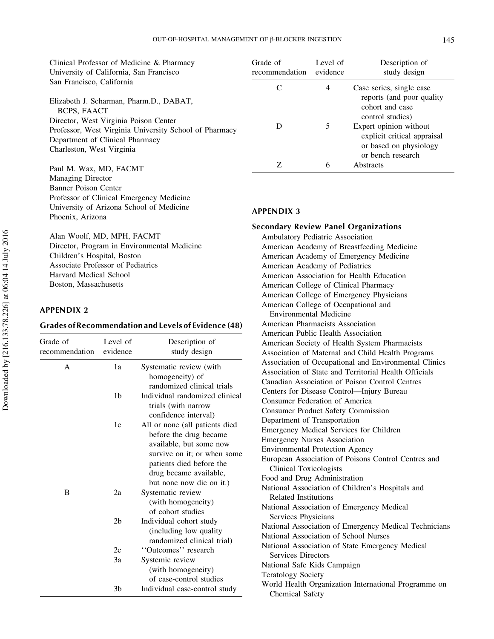| Clinical Professor of Medicine & Pharmacy<br>University of California, San Francisco                                                                                                                                      | Grade of<br>recommendation | Level of<br>evidence | Description of<br>study design                                                                                                                                            |
|---------------------------------------------------------------------------------------------------------------------------------------------------------------------------------------------------------------------------|----------------------------|----------------------|---------------------------------------------------------------------------------------------------------------------------------------------------------------------------|
| San Francisco, California                                                                                                                                                                                                 | C                          | 4                    | Case series, single case                                                                                                                                                  |
| Elizabeth J. Scharman, Pharm.D., DABAT,<br>BCPS, FAACT<br>Director, West Virginia Poison Center<br>Professor, West Virginia University School of Pharmacy<br>Department of Clinical Pharmacy<br>Charleston, West Virginia | D                          | 5                    | reports (and poor quality)<br>cohort and case<br>control studies)<br>Expert opinion without<br>explicit critical appraisal<br>or based on physiology<br>or bench research |
| Paul M. Wax, MD, FACMT                                                                                                                                                                                                    | Z.                         | 6                    | <b>Abstracts</b>                                                                                                                                                          |

Managing Director Banner Poison Center Professor of Clinical Emergency Medicine University of Arizona School of Medicine Phoenix, Arizona

Alan Woolf, MD, MPH, FACMT Director, Program in Environmental Medicine Children's Hospital, Boston Associate Professor of Pediatrics Harvard Medical School Boston, Massachusetts

#### APPENDIX 2

## Grades of Recommendation and Levels of Evidence (48)

| Grade of<br>recommendation | Level of<br>evidence | Description of<br>study design                                                                                                                                                                       | American Public He<br>American Society of<br><b>Association of Mate</b>                                                                                                |
|----------------------------|----------------------|------------------------------------------------------------------------------------------------------------------------------------------------------------------------------------------------------|------------------------------------------------------------------------------------------------------------------------------------------------------------------------|
| A                          | 1a<br>1 <sub>b</sub> | Systematic review (with<br>homogeneity) of<br>randomized clinical trials<br>Individual randomized clinical<br>trials (with narrow<br>confidence interval)                                            | Association of Occu<br>Association of State<br>Canadian Associatio<br>Centers for Disease                                                                              |
|                            |                      |                                                                                                                                                                                                      | <b>Consumer Federatio</b><br>Consumer Product S<br>Department of Trans                                                                                                 |
|                            | 1c                   | All or none (all patients died<br>before the drug became<br>available, but some now<br>survive on it; or when some<br>patients died before the<br>drug became available,<br>but none now die on it.) | <b>Emergency Medical</b><br>Emergency Nurses /<br><b>Environmental Prote</b><br>European Associatio<br>Clinical Toxicolog<br>Food and Drug Adm<br>National Association |
| B                          | 2a                   | Systematic review<br>(with homogeneity)<br>of cohort studies                                                                                                                                         | Related Institution<br>National Association<br>Services Physicial                                                                                                      |
|                            | 2b                   | Individual cohort study<br>(including low quality)<br>randomized clinical trial)                                                                                                                     | National Association<br>National Association<br>National Association                                                                                                   |
|                            | 2c<br>3a             | "Outcomes" research<br>Systemic review<br>(with homogeneity)<br>of case-control studies                                                                                                              | Services Directors<br>National Safe Kids<br>Teratology Society                                                                                                         |
|                            | 3 <sub>b</sub>       | Individual case-control study                                                                                                                                                                        | World Health Organ<br><b>Chemical Safety</b>                                                                                                                           |

## APPENDIX 3

| Secondary Review Panel Organizations                  |
|-------------------------------------------------------|
| Ambulatory Pediatric Association                      |
| American Academy of Breastfeeding Medicine            |
| American Academy of Emergency Medicine                |
| American Academy of Pediatrics                        |
| American Association for Health Education             |
| American College of Clinical Pharmacy                 |
| American College of Emergency Physicians              |
| American College of Occupational and                  |
| <b>Environmental Medicine</b>                         |
| American Pharmacists Association                      |
| American Public Health Association                    |
| American Society of Health System Pharmacists         |
| Association of Maternal and Child Health Programs     |
| Association of Occupational and Environmental Clinics |
| Association of State and Territorial Health Officials |
| Canadian Association of Poison Control Centres        |
| Centers for Disease Control-Injury Bureau             |
| <b>Consumer Federation of America</b>                 |
| <b>Consumer Product Safety Commission</b>             |
| Department of Transportation                          |
| Emergency Medical Services for Children               |
| <b>Emergency Nurses Association</b>                   |
| <b>Environmental Protection Agency</b>                |
| European Association of Poisons Control Centres and   |
| <b>Clinical Toxicologists</b>                         |
| Food and Drug Administration                          |
| National Association of Children's Hospitals and      |
| <b>Related Institutions</b>                           |
| National Association of Emergency Medical             |
| Services Physicians                                   |
| National Association of Emergency Medical Technicians |
| National Association of School Nurses                 |
| National Association of State Emergency Medical       |
| <b>Services Directors</b>                             |
| National Safe Kids Campaign                           |
| <b>Teratology Society</b>                             |
| World Health Organization International Programme on  |
| <b>Chemical Safety</b>                                |